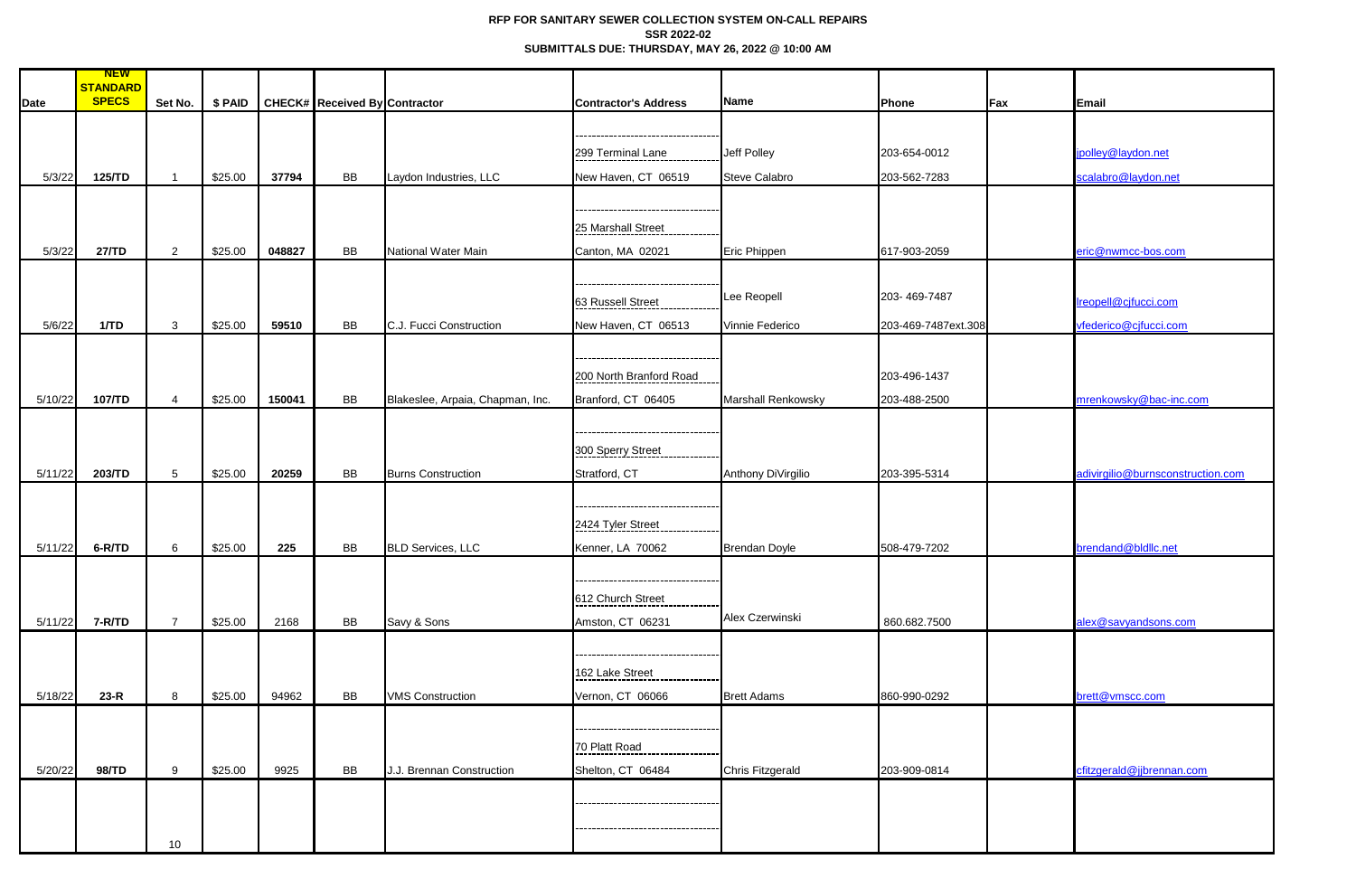## **RFP FOR SANITARY SEWER COLLECTION SYSTEM ON-CALL REPAIRS SSR 2022-02 SUBMITTALS DUE: THURSDAY, MAY 26, 2022 @ 10:00 AM**

| <b>Date</b> | <b>NEW</b><br><b>STANDARD</b><br><b>SPECS</b> | Set No.         | \$ PAID |        | <b>CHECK# Received By Contractor</b> |                                  | <b>Contractor's Address</b>      | Name                      | Phone               | Fax | Email                             |
|-------------|-----------------------------------------------|-----------------|---------|--------|--------------------------------------|----------------------------------|----------------------------------|---------------------------|---------------------|-----|-----------------------------------|
|             |                                               |                 |         |        |                                      |                                  |                                  |                           |                     |     |                                   |
|             |                                               |                 |         |        |                                      |                                  |                                  |                           |                     |     |                                   |
|             |                                               |                 |         |        |                                      |                                  | 299 Terminal Lane                | Jeff Polley               | 203-654-0012        |     | jpolley@laydon.net                |
| 5/3/22      | 125/TD                                        |                 | \$25.00 | 37794  | BB                                   | Laydon Industries, LLC           | New Haven, CT 06519              | <b>Steve Calabro</b>      | 203-562-7283        |     | scalabro@laydon.net               |
|             |                                               |                 |         |        |                                      |                                  |                                  |                           |                     |     |                                   |
|             |                                               |                 |         |        |                                      |                                  | 25 Marshall Street               |                           |                     |     |                                   |
| 5/3/22      | 27/TD                                         | $\overline{2}$  | \$25.00 | 048827 | <b>BB</b>                            | National Water Main              | Canton, MA 02021                 | Eric Phippen              | 617-903-2059        |     | eric@nwmcc-bos.com                |
|             |                                               |                 |         |        |                                      |                                  |                                  |                           |                     |     |                                   |
|             |                                               |                 |         |        |                                      |                                  |                                  |                           |                     |     |                                   |
|             |                                               |                 |         |        |                                      |                                  | 63 Russell Street                | Lee Reopell               | 203-469-7487        |     | Ireopell@cjfucci.com              |
| 5/6/22      | 1/TD                                          | $\mathbf{3}$    | \$25.00 | 59510  | BB                                   | C.J. Fucci Construction          | New Haven, CT 06513              | Vinnie Federico           | 203-469-7487ext.308 |     | vfederico@cjfucci.com             |
|             |                                               |                 |         |        |                                      |                                  |                                  |                           |                     |     |                                   |
|             |                                               |                 |         |        |                                      |                                  |                                  |                           |                     |     |                                   |
|             |                                               |                 |         |        |                                      |                                  | 200 North Branford Road          |                           | 203-496-1437        |     |                                   |
| 5/10/22     | 107/TD                                        | $\overline{4}$  | \$25.00 | 150041 | BB                                   | Blakeslee, Arpaia, Chapman, Inc. | Branford, CT 06405               | <b>Marshall Renkowsky</b> | 203-488-2500        |     | mrenkowsky@bac-inc.com            |
|             |                                               |                 |         |        |                                      |                                  |                                  |                           |                     |     |                                   |
|             |                                               |                 |         |        |                                      |                                  | 300 Sperry Street                |                           |                     |     |                                   |
| 5/11/22     | 203/TD                                        | $5\phantom{.0}$ | \$25.00 | 20259  | BB                                   | <b>Burns Construction</b>        | Stratford, CT                    | Anthony DiVirgilio        | 203-395-5314        |     | adivirgilio@burnsconstruction.com |
|             |                                               |                 |         |        |                                      |                                  |                                  |                           |                     |     |                                   |
|             |                                               |                 |         |        |                                      |                                  | -------------------------------- |                           |                     |     |                                   |
|             |                                               |                 |         |        |                                      |                                  | 2424 Tyler Street                |                           |                     |     |                                   |
| 5/11/22     | 6-R/TD                                        | 6               | \$25.00 | 225    | BB                                   | <b>BLD Services, LLC</b>         | Kenner, LA 70062                 | <b>Brendan Doyle</b>      | 508-479-7202        |     | brendand@bldllc.net               |
|             |                                               |                 |         |        |                                      |                                  |                                  |                           |                     |     |                                   |
|             |                                               |                 |         |        |                                      |                                  | 612 Church Street                |                           |                     |     |                                   |
| 5/11/22     | 7-R/TD                                        | $\overline{7}$  | \$25.00 | 2168   | <b>BB</b>                            | Savy & Sons                      | Amston, CT 06231                 | Alex Czerwinski           | 860.682.7500        |     | alex@savyandsons.com              |
|             |                                               |                 |         |        |                                      |                                  |                                  |                           |                     |     |                                   |
|             |                                               |                 |         |        |                                      |                                  |                                  |                           |                     |     |                                   |
|             |                                               |                 |         |        |                                      |                                  | 162 Lake Street                  |                           |                     |     |                                   |
| 5/18/22     | $23-R$                                        | 8               | \$25.00 | 94962  | <b>BB</b>                            | <b>VMS Construction</b>          | Vernon, CT 06066                 | <b>Brett Adams</b>        | 860-990-0292        |     | brett@vmscc.com                   |
|             |                                               |                 |         |        |                                      |                                  |                                  |                           |                     |     |                                   |
|             |                                               |                 |         |        |                                      |                                  | --------------------             |                           |                     |     |                                   |
|             |                                               |                 |         |        |                                      |                                  | 70 Platt Road                    |                           |                     |     |                                   |
| 5/20/22     | 98/TD                                         | 9               | \$25.00 | 9925   | <b>BB</b>                            | J.J. Brennan Construction        | Shelton, CT 06484                | <b>Chris Fitzgerald</b>   | 203-909-0814        |     | cfitzgerald@jjbrennan.com         |
|             |                                               |                 |         |        |                                      |                                  | .                                |                           |                     |     |                                   |
|             |                                               |                 |         |        |                                      |                                  |                                  |                           |                     |     |                                   |
|             |                                               | 10              |         |        |                                      |                                  |                                  |                           |                     |     |                                   |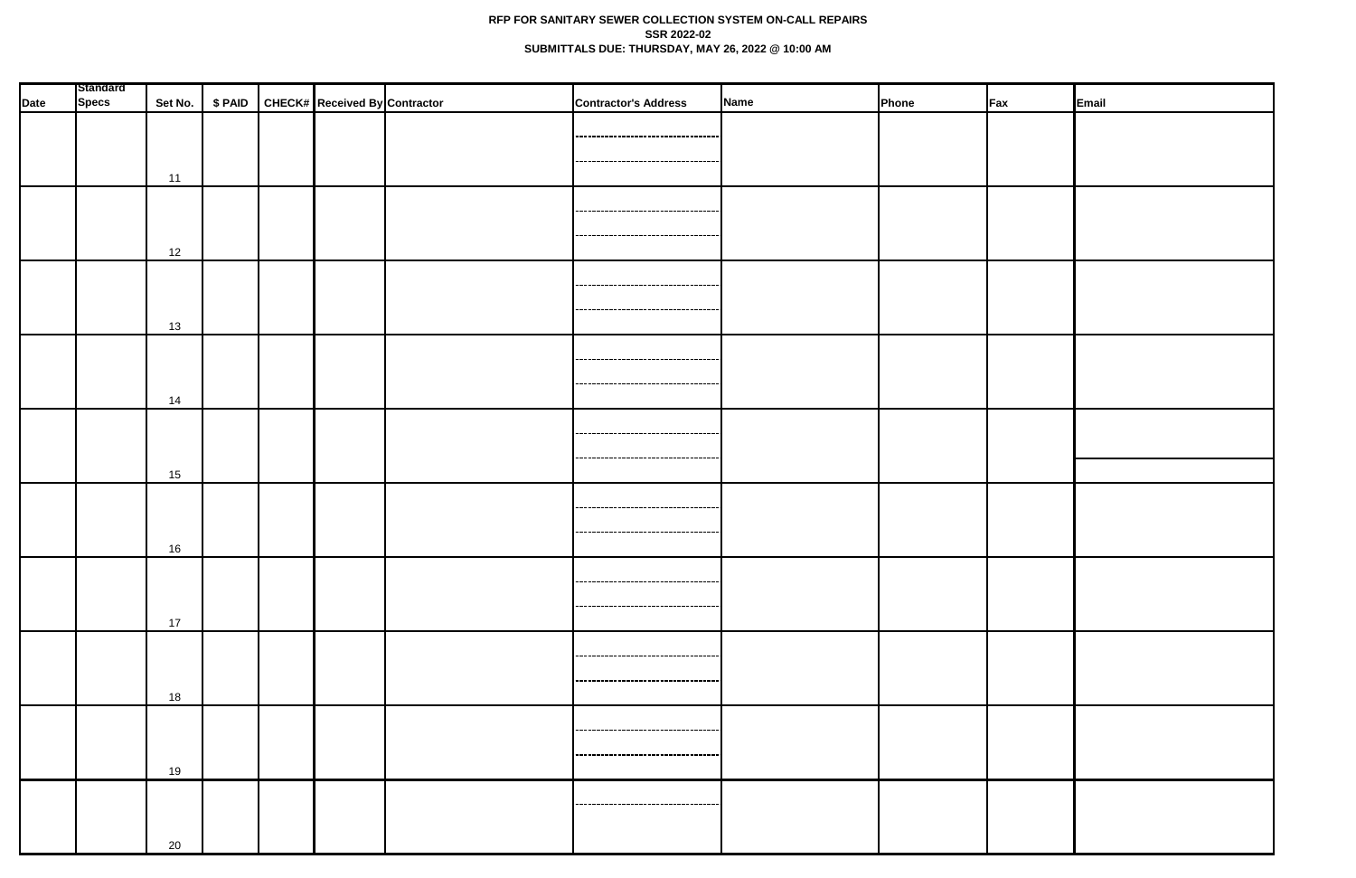## **RFP FOR SANITARY SEWER COLLECTION SYSTEM ON-CALL REPAIRS SSR 2022-02 SUBMITTALS DUE: THURSDAY, MAY 26, 2022 @ 10:00 AM**

| <b>Date</b> | Standard<br><b>Specs</b> |    |  | Set No.   \$ PAID   CHECK# Received By Contractor | <b>Contractor's Address</b>          | Name | Phone | $\mathsf{F}$ ax | Email |
|-------------|--------------------------|----|--|---------------------------------------------------|--------------------------------------|------|-------|-----------------|-------|
|             |                          |    |  |                                                   |                                      |      |       |                 |       |
|             |                          |    |  |                                                   | ----------------------------------   |      |       |                 |       |
|             |                          |    |  |                                                   | -----------------------------------  |      |       |                 |       |
|             |                          | 11 |  |                                                   |                                      |      |       |                 |       |
|             |                          |    |  |                                                   | ----------------------------------   |      |       |                 |       |
|             |                          |    |  |                                                   | -----------------------              |      |       |                 |       |
|             |                          | 12 |  |                                                   |                                      |      |       |                 |       |
|             |                          |    |  |                                                   |                                      |      |       |                 |       |
|             |                          |    |  |                                                   |                                      |      |       |                 |       |
|             |                          | 13 |  |                                                   | -----------------------------------  |      |       |                 |       |
|             |                          |    |  |                                                   |                                      |      |       |                 |       |
|             |                          |    |  |                                                   | -------------------------------      |      |       |                 |       |
|             |                          | 14 |  |                                                   | -----------------------------------  |      |       |                 |       |
|             |                          |    |  |                                                   |                                      |      |       |                 |       |
|             |                          |    |  |                                                   | -----------------------------------  |      |       |                 |       |
|             |                          |    |  |                                                   | ,-----------------------------       |      |       |                 |       |
|             |                          | 15 |  |                                                   |                                      |      |       |                 |       |
|             |                          |    |  |                                                   | ----------------------------------   |      |       |                 |       |
|             |                          |    |  |                                                   | -----------------------------------  |      |       |                 |       |
|             |                          | 16 |  |                                                   |                                      |      |       |                 |       |
|             |                          |    |  |                                                   | -----------------------------------  |      |       |                 |       |
|             |                          |    |  |                                                   | ------------------------------------ |      |       |                 |       |
|             |                          | 17 |  |                                                   |                                      |      |       |                 |       |
|             |                          |    |  |                                                   |                                      |      |       |                 |       |
|             |                          |    |  |                                                   | -----------------------------------  |      |       |                 |       |
|             |                          | 18 |  |                                                   | -----------------------------------  |      |       |                 |       |
|             |                          |    |  |                                                   |                                      |      |       |                 |       |
|             |                          |    |  |                                                   | ------------------------------------ |      |       |                 |       |
|             |                          |    |  |                                                   | -----------------------------------  |      |       |                 |       |
|             |                          | 19 |  |                                                   |                                      |      |       |                 |       |
|             |                          |    |  |                                                   | -----------------------------------  |      |       |                 |       |
|             |                          |    |  |                                                   |                                      |      |       |                 |       |
|             |                          | 20 |  |                                                   |                                      |      |       |                 |       |